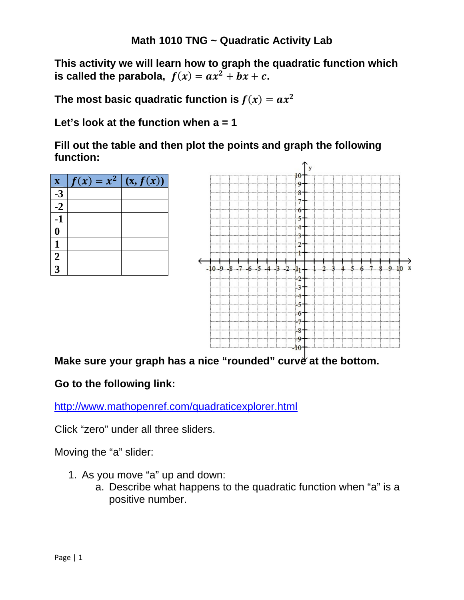**This activity we will learn how to graph the quadratic function which is called the parabola,**  $f(x) = ax^2 + bx + c$ .

The most basic quadratic function is  $f(x) = ax^2$ 

**Let's look at the function when a = 1** 

**Fill out the table and then plot the points and graph the following function:** 

| $\overline{\mathbf{X}}$ | $f(x) = x^2$ | (x, f(x)) |
|-------------------------|--------------|-----------|
| $-3$                    |              |           |
| $-2$                    |              |           |
| -1                      |              |           |
| $\boldsymbol{0}$        |              |           |
| 1                       |              |           |
| $\boldsymbol{2}$        |              |           |
| 3                       |              |           |



# Make sure your graph has a nice "rounded" curve at the bottom.

### **Go to the following link:**

http://www.mathopenref.com/quadraticexplorer.html

Click "zero" under all three sliders.

Moving the "a" slider:

- 1. As you move "a" up and down:
	- a. Describe what happens to the quadratic function when "a" is a positive number.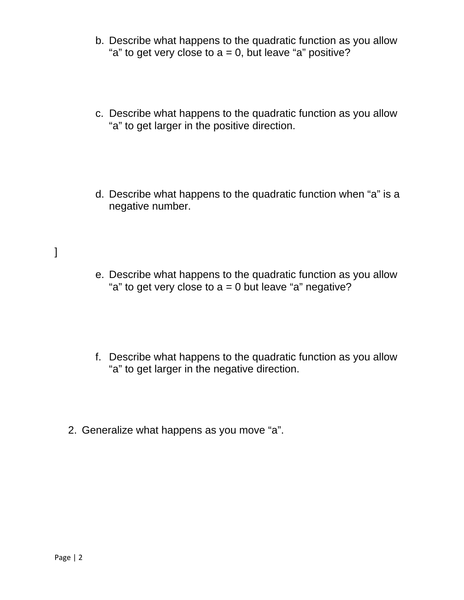- b. Describe what happens to the quadratic function as you allow "a" to get very close to  $a = 0$ , but leave "a" positive?
- c. Describe what happens to the quadratic function as you allow "a" to get larger in the positive direction.
- d. Describe what happens to the quadratic function when "a" is a negative number.
- e. Describe what happens to the quadratic function as you allow "a" to get very close to  $a = 0$  but leave "a" negative?
- f. Describe what happens to the quadratic function as you allow "a" to get larger in the negative direction.
- 2. Generalize what happens as you move "a".

]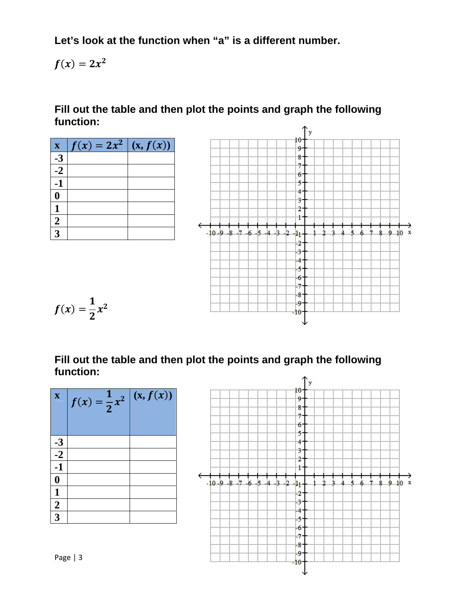Let's look at the function when "a" is a different number.

$$
f(x)=2x^2
$$

Fill out the table and then plot the points and graph the following function:



| $\overline{\mathbf{X}}$ | $f(x) = \frac{1}{2}x^2$ | (x, f(x)) |
|-------------------------|-------------------------|-----------|
|                         |                         |           |
| $\frac{-3}{-2}$         |                         |           |
| $-1$                    |                         |           |
| $\boldsymbol{0}$        |                         |           |
| 1                       |                         |           |
| $\frac{2}{3}$           |                         |           |
|                         |                         |           |
|                         |                         |           |

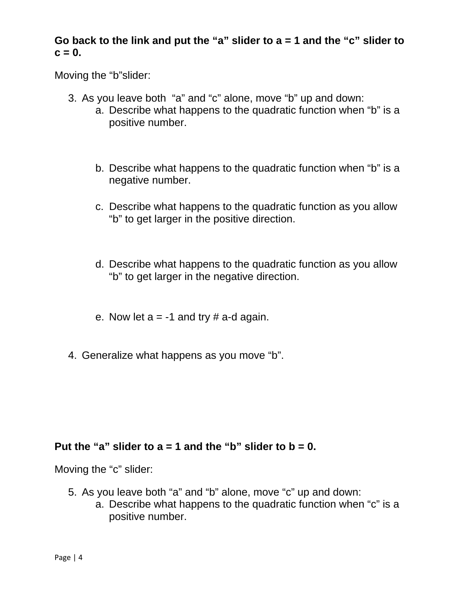## **Go back to the link and put the "a" slider to a = 1 and the "c" slider to**   $c = 0.$

Moving the "b"slider:

- 3. As you leave both "a" and "c" alone, move "b" up and down:
	- a. Describe what happens to the quadratic function when "b" is a positive number.
	- b. Describe what happens to the quadratic function when "b" is a negative number.
	- c. Describe what happens to the quadratic function as you allow "b" to get larger in the positive direction.
	- d. Describe what happens to the quadratic function as you allow "b" to get larger in the negative direction.
	- e. Now let  $a = -1$  and try # a-d again.
- 4. Generalize what happens as you move "b".

### Put the "a" slider to  $a = 1$  and the "b" slider to  $b = 0$ .

Moving the "c" slider:

- 5. As you leave both "a" and "b" alone, move "c" up and down:
	- a. Describe what happens to the quadratic function when "c" is a positive number.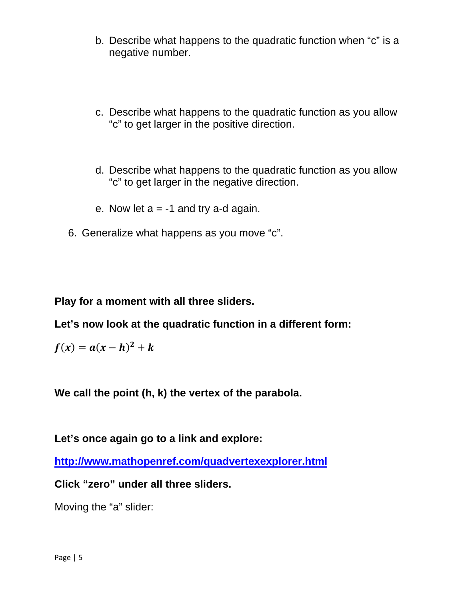- b. Describe what happens to the quadratic function when "c" is a negative number.
- c. Describe what happens to the quadratic function as you allow "c" to get larger in the positive direction.
- d. Describe what happens to the quadratic function as you allow "c" to get larger in the negative direction.
- e. Now let  $a = -1$  and try a-d again.
- 6. Generalize what happens as you move "c".

**Play for a moment with all three sliders.** 

**Let's now look at the quadratic function in a different form:** 

$$
f(x) = a(x-h)^2 + k
$$

**We call the point (h, k) the vertex of the parabola.** 

**Let's once again go to a link and explore:** 

**http://www.mathopenref.com/quadvertexexplorer.html**

**Click "zero" under all three sliders.** 

Moving the "a" slider: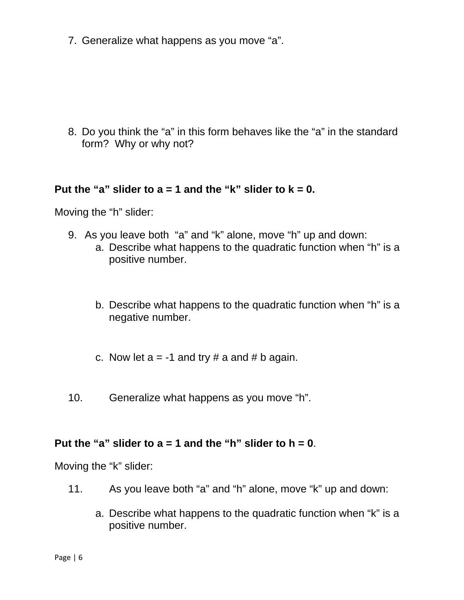7. Generalize what happens as you move "a".

8. Do you think the "a" in this form behaves like the "a" in the standard form? Why or why not?

#### Put the "a" slider to  $a = 1$  and the "k" slider to  $k = 0$ .

Moving the "h" slider:

- 9. As you leave both "a" and "k" alone, move "h" up and down: a. Describe what happens to the quadratic function when "h" is a positive number.
	- b. Describe what happens to the quadratic function when "h" is a negative number.
	- c. Now let  $a = -1$  and try # a and # b again.
- 10. Generalize what happens as you move "h".

#### **Put the "a" slider to a = 1 and the "h" slider to h = 0**.

Moving the "k" slider:

- 11. As you leave both "a" and "h" alone, move "k" up and down:
	- a. Describe what happens to the quadratic function when "k" is a positive number.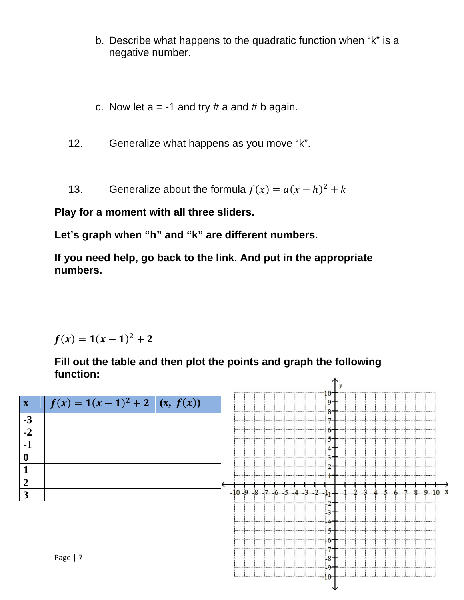- b. Describe what happens to the quadratic function when "k" is a negative number.
- c. Now let  $a = -1$  and try # a and # b again.

Generalize what happens as you move "k".  $12.$ 

Generalize about the formula  $f(x) = a(x - h)^2 + k$  $13.$ 

Play for a moment with all three sliders.

Let's graph when "h" and "k" are different numbers.

If you need help, go back to the link. And put in the appropriate numbers.

$$
f(x) = 1(x-1)^2 + 2
$$

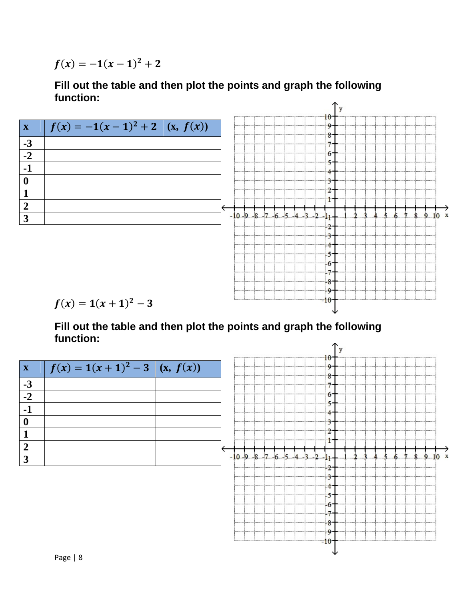$f(x) = -1(x-1)^2 + 2$ 

#### Fill out the table and then plot the points and graph the following function: